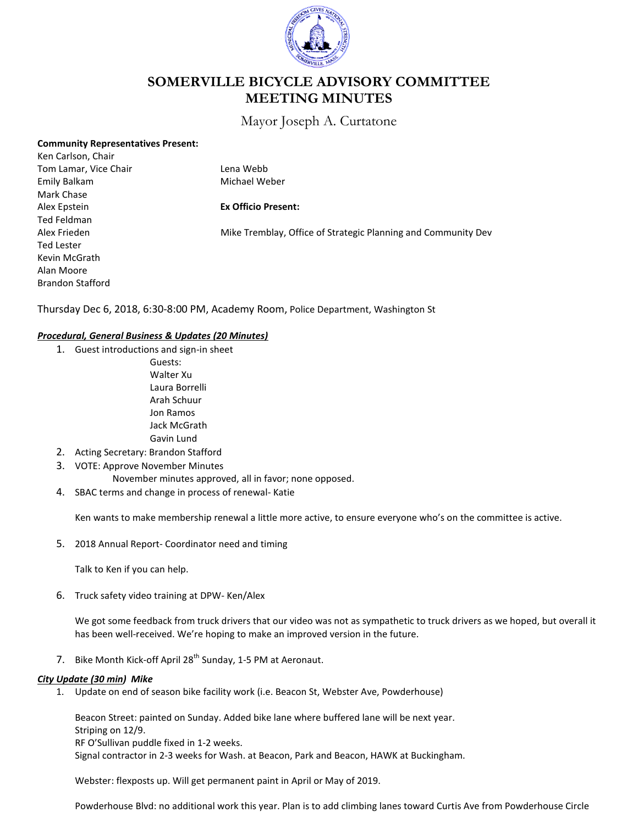

# **SOMERVILLE BICYCLE ADVISORY COMMITTEE MEETING MINUTES**

## Mayor Joseph A. Curtatone

| <b>Community Representatives Present:</b><br>Ken Carlson, Chair |                                                               |
|-----------------------------------------------------------------|---------------------------------------------------------------|
| Tom Lamar, Vice Chair                                           | Lena Webb                                                     |
| Emily Balkam                                                    | Michael Weber                                                 |
| Mark Chase                                                      |                                                               |
| Alex Epstein                                                    | <b>Ex Officio Present:</b>                                    |
| Ted Feldman                                                     |                                                               |
| Alex Frieden                                                    | Mike Tremblay, Office of Strategic Planning and Community Dev |
| Ted Lester                                                      |                                                               |
| Kevin McGrath                                                   |                                                               |
| Alan Moore                                                      |                                                               |
| <b>Brandon Stafford</b>                                         |                                                               |

Thursday Dec 6, 2018, 6:30-8:00 PM, Academy Room, Police Department, Washington St

## *Procedural, General Business & Updates (20 Minutes)*

- 1. Guest introductions and sign-in sheet Guests: Walter Xu Laura Borrelli Arah Schuur
	- Jon Ramos Jack McGrath Gavin Lund
- 2. Acting Secretary: Brandon Stafford
- 3. VOTE: Approve November Minutes
	- November minutes approved, all in favor; none opposed.
- 4. SBAC terms and change in process of renewal- Katie

Ken wants to make membership renewal a little more active, to ensure everyone who's on the committee is active.

5. 2018 Annual Report- Coordinator need and timing

Talk to Ken if you can help.

6. Truck safety video training at DPW- Ken/Alex

We got some feedback from truck drivers that our video was not as sympathetic to truck drivers as we hoped, but overall it has been well-received. We're hoping to make an improved version in the future.

7. Bike Month Kick-off April 28<sup>th</sup> Sunday, 1-5 PM at Aeronaut.

#### *City Update (30 min) Mike*

1. Update on end of season bike facility work (i.e. Beacon St, Webster Ave, Powderhouse)

Beacon Street: painted on Sunday. Added bike lane where buffered lane will be next year. Striping on 12/9. RF O'Sullivan puddle fixed in 1-2 weeks. Signal contractor in 2-3 weeks for Wash. at Beacon, Park and Beacon, HAWK at Buckingham.

Webster: flexposts up. Will get permanent paint in April or May of 2019.

Powderhouse Blvd: no additional work this year. Plan is to add climbing lanes toward Curtis Ave from Powderhouse Circle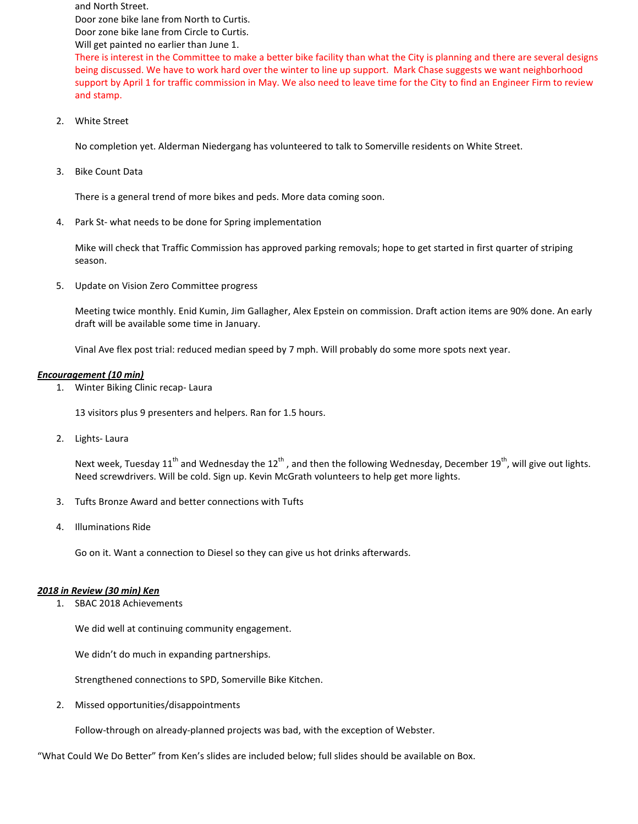and North Street. Door zone bike lane from North to Curtis. Door zone bike lane from Circle to Curtis. Will get painted no earlier than June 1.

There is interest in the Committee to make a better bike facility than what the City is planning and there are several designs being discussed. We have to work hard over the winter to line up support. Mark Chase suggests we want neighborhood support by April 1 for traffic commission in May. We also need to leave time for the City to find an Engineer Firm to review and stamp.

2. White Street

No completion yet. Alderman Niedergang has volunteered to talk to Somerville residents on White Street.

3. Bike Count Data

There is a general trend of more bikes and peds. More data coming soon.

4. Park St- what needs to be done for Spring implementation

Mike will check that Traffic Commission has approved parking removals; hope to get started in first quarter of striping season.

5. Update on Vision Zero Committee progress

Meeting twice monthly. Enid Kumin, Jim Gallagher, Alex Epstein on commission. Draft action items are 90% done. An early draft will be available some time in January.

Vinal Ave flex post trial: reduced median speed by 7 mph. Will probably do some more spots next year.

## *Encouragement (10 min)*

1. Winter Biking Clinic recap- Laura

13 visitors plus 9 presenters and helpers. Ran for 1.5 hours.

2. Lights- Laura

Next week, Tuesday 11<sup>th</sup> and Wednesday the 12<sup>th</sup>, and then the following Wednesday, December 19<sup>th</sup>, will give out lights. Need screwdrivers. Will be cold. Sign up. Kevin McGrath volunteers to help get more lights.

- 3. Tufts Bronze Award and better connections with Tufts
- 4. Illuminations Ride

Go on it. Want a connection to Diesel so they can give us hot drinks afterwards.

#### *2018 in Review (30 min) Ken*

1. SBAC 2018 Achievements

We did well at continuing community engagement.

We didn't do much in expanding partnerships.

Strengthened connections to SPD, Somerville Bike Kitchen.

2. Missed opportunities/disappointments

Follow-through on already-planned projects was bad, with the exception of Webster.

"What Could We Do Better" from Ken's slides are included below; full slides should be available on Box.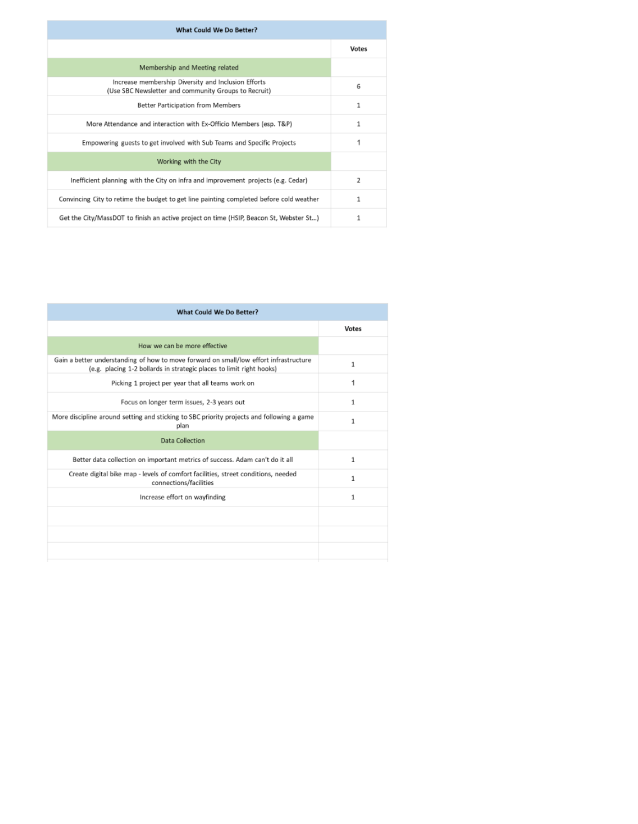| What Could We Do Better?                                                                                    |       |  |
|-------------------------------------------------------------------------------------------------------------|-------|--|
|                                                                                                             | Votes |  |
| Membership and Meeting related                                                                              |       |  |
| Increase membership Diversity and Inclusion Efforts<br>(Use SBC Newsletter and community Groups to Recruit) | 6     |  |
| Better Participation from Members                                                                           | 1     |  |
| More Attendance and interaction with Ex-Officio Members (esp. T&P)                                          | 1     |  |
| Empowering guests to get involved with Sub Teams and Specific Projects                                      |       |  |
| Working with the City                                                                                       |       |  |
| Inefficient planning with the City on infra and improvement projects (e.g. Cedar)                           | 2     |  |
| Convincing City to retime the budget to get line painting completed before cold weather                     | 1     |  |
| Get the City/MassDOT to finish an active project on time (HSIP, Beacon St, Webster St)                      | 1     |  |

| What Could We Do Better?                                                                                                                                      |              |  |
|---------------------------------------------------------------------------------------------------------------------------------------------------------------|--------------|--|
|                                                                                                                                                               | Votes        |  |
| How we can be more effective                                                                                                                                  |              |  |
| Gain a better understanding of how to move forward on small/low effort infrastructure<br>(e.g. placing 1-2 bollards in strategic places to limit right hooks) | 1            |  |
| Picking 1 project per year that all teams work on                                                                                                             | 1            |  |
| Focus on longer term issues, 2-3 years out                                                                                                                    | 1            |  |
| More discipline around setting and sticking to SBC priority projects and following a game<br>plan                                                             | 1            |  |
| Data Collection                                                                                                                                               |              |  |
| Better data collection on important metrics of success. Adam can't do it all                                                                                  | $\mathbf{1}$ |  |
| Create digital bike map - levels of comfort facilities, street conditions, needed<br>connections/facilities                                                   | 1            |  |
| Increase effort on wayfinding                                                                                                                                 | $\mathbf{1}$ |  |
|                                                                                                                                                               |              |  |
|                                                                                                                                                               |              |  |
|                                                                                                                                                               |              |  |